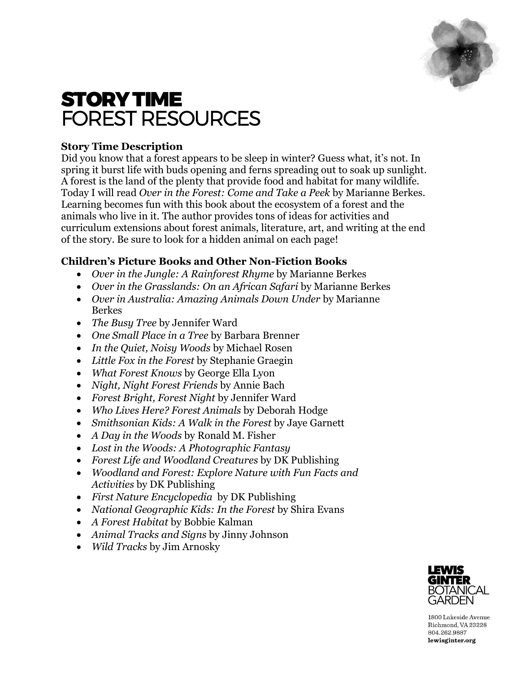

# STORY TIME FOREST RESOURCES

# **Story Time Description**

Did you know that a forest appears to be sleep in winter? Guess what, it's not. In spring it burst life with buds opening and ferns spreading out to soak up sunlight. A forest is the land of the plenty that provide food and habitat for many wildlife. Today I will read *Over in the Forest: Come and Take a Peek* by Marianne Berkes. Learning becomes fun with this book about the ecosystem of a forest and the animals who live in it. The author provides tons of ideas for activities and curriculum extensions about forest animals, literature, art, and writing at the end of the story. Be sure to look for a hidden animal on each page!

# **Children's Picture Books and Other Non-Fiction Books**

- *Over in the Jungle: A Rainforest Rhyme* by Marianne Berkes
- *Over in the Grasslands: On an African Safari* by Marianne Berkes
- *Over in Australia: Amazing Animals Down Under* by Marianne Berkes
- *The Busy Tree* by Jennifer Ward
- *One Small Place in a Tree* by Barbara Brenner
- *In the Quiet, Noisy Woods* by Michael Rosen
- *Little Fox in the Forest* by Stephanie Graegin
- *What Forest Knows* by George Ella Lyon
- *Night, Night Forest Friends* by Annie Bach
- *Forest Bright, Forest Night* by Jennifer Ward
- *Who Lives Here? Forest Animals* by Deborah Hodge
- *Smithsonian Kids: A Walk in the Forest* by Jaye Garnett
- *A Day in the Woods* by Ronald M. Fisher
- *Lost in the Woods: A Photographic Fantasy*
- *Forest Life and Woodland Creatures* by DK Publishing
- *Woodland and Forest: Explore Nature with Fun Facts and Activities* by DK Publishing
- *First Nature Encyclopedia* by DK Publishing
- *National Geographic Kids: In the Forest* by Shira Evans
- *A Forest Habitat* by Bobbie Kalman
- *Animal Tracks and Signs* by Jinny Johnson
- *Wild Tracks* by Jim Arnosky



1800 Lakeside Avenue Richmond, VA 23228 804.262.9887 lewisginter.org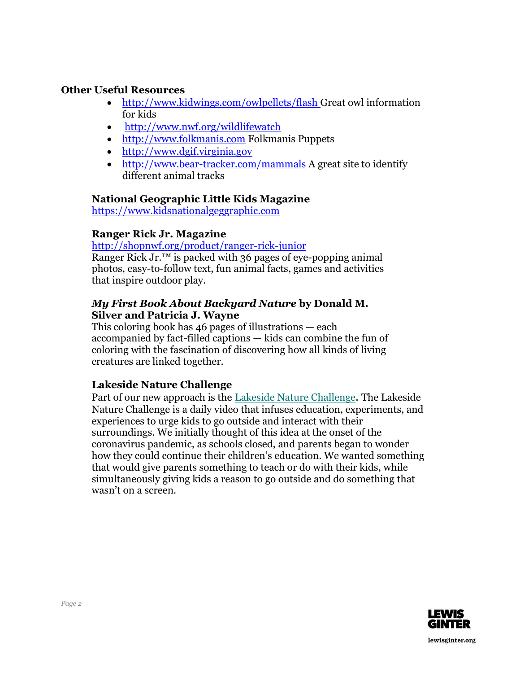## **Other Useful Resources**

- <http://www.kidwings.com/owlpellets/flash> Great owl information for kids
- http://www.nwf.org/wildlifewatch
- http:/[/www.folkmanis.com](http://www.folkmanis.com/) Folkmanis Puppets
- [http://www.dgif.virginia.gov](http://www.dgif.virginia.gov/)
- <http://www.bear-tracker.com/mammals> A great site to identify different animal tracks

#### **National Geographic Little Kids Magazine**

[https://www.kidsnationalgeggraphic.com](https://www.kidsnationalgeggraphic.com/)

### **Ranger Rick Jr. Magazine**

<http://shopnwf.org/product/ranger-rick-junior>

Ranger Rick Jr. $^{TM}$  is packed with 36 pages of eye-popping animal photos, easy-to-follow text, fun animal facts, games and activities that inspire outdoor play.

#### *My First Book About Backyard Nature* **by Donald M. Silver and Patricia J. Wayne**

This coloring book has 46 pages of illustrations — each accompanied by fact-filled captions — kids can combine the fun of coloring with the fascination of discovering how all kinds of living creatures are linked together.

# **Lakeside Nature Challenge**

Part of our new approach is the Lakeside Nature [Challenge](https://www.facebook.com/pg/LakesideLab). The Lakeside Nature Challenge is a daily video that infuses education, experiments, and experiences to urge kids to go outside and interact with their surroundings. We initially thought of this idea at the onset of the coronavirus pandemic, as schools closed, and parents began to wonder how they could continue their children's education. We wanted something that would give parents something to teach or do with their kids, while simultaneously giving kids a reason to go outside and do something that wasn't on a screen.